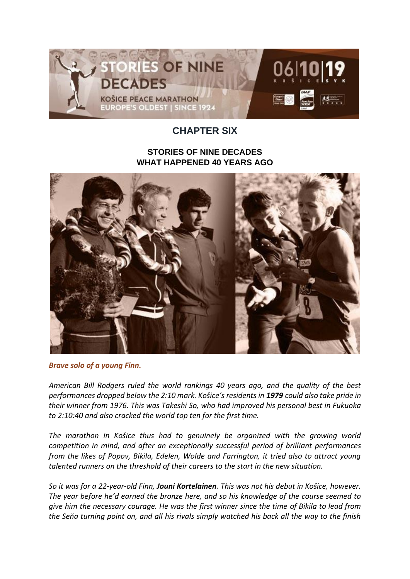

## **CHAPTER SIX**

## **STORIES OF NINE DECADES WHAT HAPPENED 40 YEARS AGO**



*Brave solo of a young Finn.*

*American Bill Rodgers ruled the world rankings 40 years ago, and the quality of the best performances dropped below the 2:10 mark. Košice's residents in 1979 could also take pride in their winner from 1976. This was Takeshi So, who had improved his personal best in Fukuoka to 2:10:40 and also cracked the world top ten for the first time.*

*The marathon in Košice thus had to genuinely be organized with the growing world competition in mind, and after an exceptionally successful period of brilliant performances from the likes of Popov, Bikila, Edelen, Wolde and Farrington, it tried also to attract young talented runners on the threshold of their careers to the start in the new situation.*

*So it was for a 22-year-old Finn, Jouni Kortelainen. This was not his debut in Košice, however. The year before he'd earned the bronze here, and so his knowledge of the course seemed to give him the necessary courage. He was the first winner since the time of Bikila to lead from the Seňa turning point on, and all his rivals simply watched his back all the way to the finish*